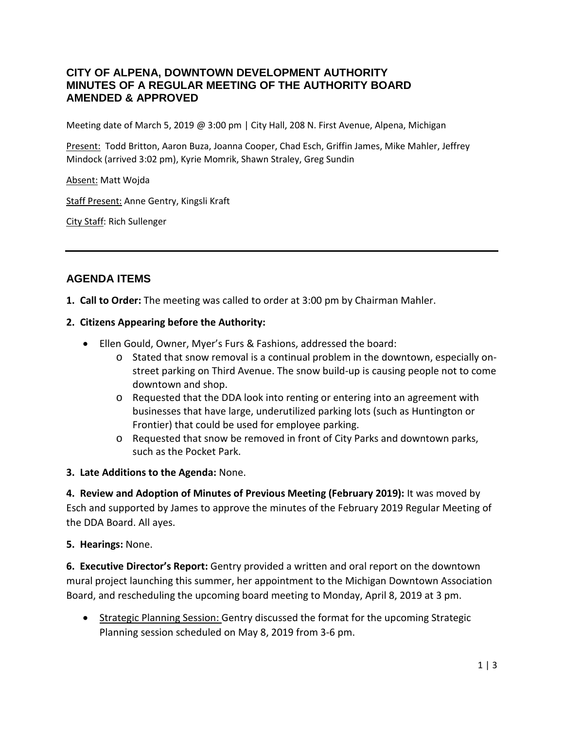### **CITY OF ALPENA, DOWNTOWN DEVELOPMENT AUTHORITY MINUTES OF A REGULAR MEETING OF THE AUTHORITY BOARD AMENDED & APPROVED**

Meeting date of March 5, 2019 @ 3:00 pm | City Hall, 208 N. First Avenue, Alpena, Michigan

Present: Todd Britton, Aaron Buza, Joanna Cooper, Chad Esch, Griffin James, Mike Mahler, Jeffrey Mindock (arrived 3:02 pm), Kyrie Momrik, Shawn Straley, Greg Sundin

Absent: Matt Wojda

Staff Present: Anne Gentry, Kingsli Kraft

City Staff: Rich Sullenger

# **AGENDA ITEMS**

**1. Call to Order:** The meeting was called to order at 3:00 pm by Chairman Mahler.

### **2. Citizens Appearing before the Authority:**

- Ellen Gould, Owner, Myer's Furs & Fashions, addressed the board:
	- o Stated that snow removal is a continual problem in the downtown, especially onstreet parking on Third Avenue. The snow build-up is causing people not to come downtown and shop.
	- o Requested that the DDA look into renting or entering into an agreement with businesses that have large, underutilized parking lots (such as Huntington or Frontier) that could be used for employee parking.
	- o Requested that snow be removed in front of City Parks and downtown parks, such as the Pocket Park.

#### **3. Late Additions to the Agenda:** None.

**4. Review and Adoption of Minutes of Previous Meeting (February 2019):** It was moved by Esch and supported by James to approve the minutes of the February 2019 Regular Meeting of the DDA Board. All ayes.

#### **5. Hearings:** None.

**6. Executive Director's Report:** Gentry provided a written and oral report on the downtown mural project launching this summer, her appointment to the Michigan Downtown Association Board, and rescheduling the upcoming board meeting to Monday, April 8, 2019 at 3 pm.

• Strategic Planning Session: Gentry discussed the format for the upcoming Strategic Planning session scheduled on May 8, 2019 from 3-6 pm.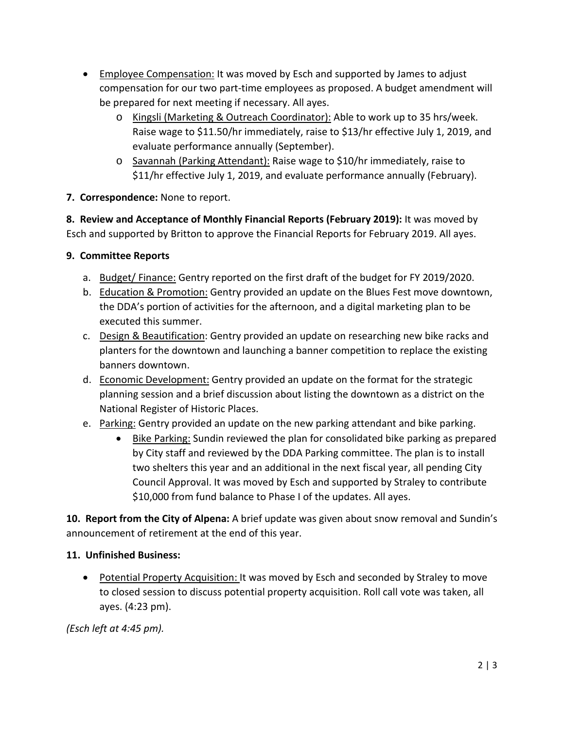- Employee Compensation: It was moved by Esch and supported by James to adjust compensation for our two part-time employees as proposed. A budget amendment will be prepared for next meeting if necessary. All ayes.
	- o Kingsli (Marketing & Outreach Coordinator): Able to work up to 35 hrs/week. Raise wage to \$11.50/hr immediately, raise to \$13/hr effective July 1, 2019, and evaluate performance annually (September).
	- o Savannah (Parking Attendant): Raise wage to \$10/hr immediately, raise to \$11/hr effective July 1, 2019, and evaluate performance annually (February).

# **7. Correspondence:** None to report.

**8. Review and Acceptance of Monthly Financial Reports (February 2019):** It was moved by Esch and supported by Britton to approve the Financial Reports for February 2019. All ayes.

# **9. Committee Reports**

- a. Budget/ Finance: Gentry reported on the first draft of the budget for FY 2019/2020.
- b. **Education & Promotion:** Gentry provided an update on the Blues Fest move downtown, the DDA's portion of activities for the afternoon, and a digital marketing plan to be executed this summer.
- c. Design & Beautification: Gentry provided an update on researching new bike racks and planters for the downtown and launching a banner competition to replace the existing banners downtown.
- d. Economic Development: Gentry provided an update on the format for the strategic planning session and a brief discussion about listing the downtown as a district on the National Register of Historic Places.
- e. Parking: Gentry provided an update on the new parking attendant and bike parking.
	- Bike Parking: Sundin reviewed the plan for consolidated bike parking as prepared by City staff and reviewed by the DDA Parking committee. The plan is to install two shelters this year and an additional in the next fiscal year, all pending City Council Approval. It was moved by Esch and supported by Straley to contribute \$10,000 from fund balance to Phase I of the updates. All ayes.

**10. Report from the City of Alpena:** A brief update was given about snow removal and Sundin's announcement of retirement at the end of this year.

# **11. Unfinished Business:**

• Potential Property Acquisition: It was moved by Esch and seconded by Straley to move to closed session to discuss potential property acquisition. Roll call vote was taken, all ayes. (4:23 pm).

*(Esch left at 4:45 pm).*